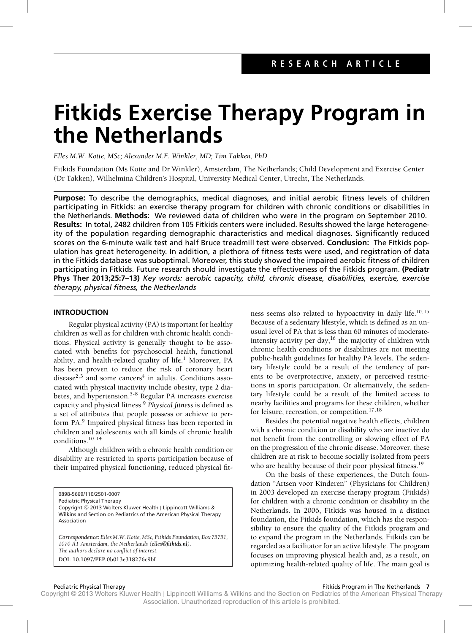# **Fitkids Exercise Therapy Program in the Netherlands**

*Elles M.W. Kotte, MSc; Alexander M.F. Winkler, MD; Tim Takken, PhD*

Fitkids Foundation (Ms Kotte and Dr Winkler), Amsterdam, The Netherlands; Child Development and Exercise Center (Dr Takken), Wilhelmina Children's Hospital, University Medical Center, Utrecht, The Netherlands.

**Purpose:** To describe the demographics, medical diagnoses, and initial aerobic fitness levels of children participating in Fitkids: an exercise therapy program for children with chronic conditions or disabilities in the Netherlands. **Methods:** We reviewed data of children who were in the program on September 2010. **Results:** In total, 2482 children from 105 Fitkids centers were included. Results showed the large heterogeneity of the population regarding demographic characteristics and medical diagnoses. Significantly reduced scores on the 6-minute walk test and half Bruce treadmill test were observed. **Conclusion:** The Fitkids population has great heterogeneity. In addition, a plethora of fitness tests were used, and registration of data in the Fitkids database was suboptimal. Moreover, this study showed the impaired aerobic fitness of children participating in Fitkids. Future research should investigate the effectiveness of the Fitkids program. **(Pediatr Phys Ther 2013;25:7–13)** *Key words: aerobic capacity, child, chronic disease, disabilities, exercise, exercise therapy, physical fitness, the Netherlands*

# **INTRODUCTION**

Regular physical activity (PA) is important for healthy children as well as for children with chronic health conditions. Physical activity is generally thought to be associated with benefits for psychosocial health, functional ability, and health-related quality of life.<sup>1</sup> Moreover, PA has been proven to reduce the risk of coronary heart disease<sup>2,3</sup> and some cancers<sup>4</sup> in adults. Conditions associated with physical inactivity include obesity, type 2 diabetes, and hypertension.<sup>5-8</sup> Regular PA increases exercise capacity and physical fitness.<sup>9</sup> *Physical fitness* is defined as a set of attributes that people possess or achieve to perform PA.<sup>9</sup> Impaired physical fitness has been reported in children and adolescents with all kinds of chronic health conditions.10-14

Although children with a chronic health condition or disability are restricted in sports participation because of their impaired physical functioning, reduced physical fit-

0898-5669/110/2501-0007

Pediatric Physical Therapy Copyright © 2013 Wolters Kluwer Health | Lippincott Williams & Wilkins and Section on Pediatrics of the American Physical Therapy Association

*Correspondence: Elles M.W. Kotte, MSc, Fitkids Foundation, Box 75751, 1070 AT Amsterdam, the Netherlands [\(elles@fitkids.nl\)](mailto:elles@fitkids.nl). The authors declare no conflict of interest.* **DOI: 10.1097/PEP.0b013e318276c9bf**

ness seems also related to hypoactivity in daily life.10,15 Because of a sedentary lifestyle, which is defined as an unusual level of PA that is less than 60 minutes of moderateintensity activity per day, $16$  the majority of children with chronic health conditions or disabilities are not meeting public-health guidelines for healthy PA levels. The sedentary lifestyle could be a result of the tendency of parents to be overprotective, anxiety, or perceived restrictions in sports participation. Or alternatively, the sedentary lifestyle could be a result of the limited access to nearby facilities and programs for these children, whether for leisure, recreation, or competition.17,18

Besides the potential negative health effects, children with a chronic condition or disability who are inactive do not benefit from the controlling or slowing effect of PA on the progression of the chronic disease. Moreover, these children are at risk to become socially isolated from peers who are healthy because of their poor physical fitness.<sup>19</sup>

On the basis of these experiences, the Dutch foundation "Artsen voor Kinderen" (Physicians for Children) in 2003 developed an exercise therapy program (Fitkids) for children with a chronic condition or disability in the Netherlands. In 2006, Fitkids was housed in a distinct foundation, the Fitkids foundation, which has the responsibility to ensure the quality of the Fitkids program and to expand the program in the Netherlands. Fitkids can be regarded as a facilitator for an active lifestyle. The program focuses on improving physical health and, as a result, on optimizing health-related quality of life. The main goal is

# Pediatric Physical Therapy Fitkids Program in The Netherlands **7**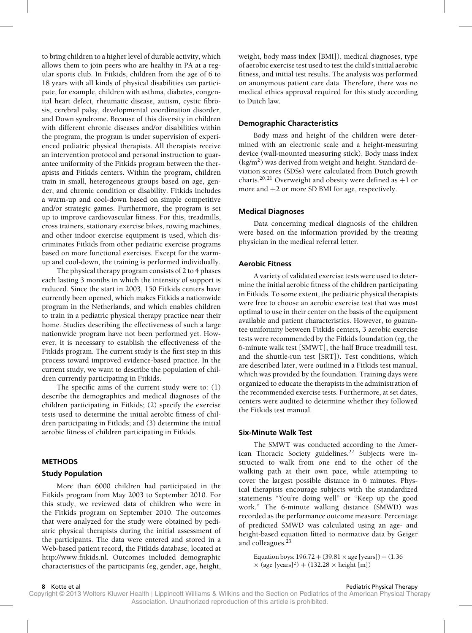to bring children to a higher level of durable activity, which allows them to join peers who are healthy in PA at a regular sports club. In Fitkids, children from the age of 6 to 18 years with all kinds of physical disabilities can participate, for example, children with asthma, diabetes, congenital heart defect, rheumatic disease, autism, cystic fibrosis, cerebral palsy, developmental coordination disorder, and Down syndrome. Because of this diversity in children with different chronic diseases and/or disabilities within the program, the program is under supervision of experienced pediatric physical therapists. All therapists receive an intervention protocol and personal instruction to guarantee uniformity of the Fitkids program between the therapists and Fitkids centers. Within the program, children train in small, heterogeneous groups based on age, gender, and chronic condition or disability. Fitkids includes a warm-up and cool-down based on simple competitive and/or strategic games. Furthermore, the program is set up to improve cardiovascular fitness. For this, treadmills, cross trainers, stationary exercise bikes, rowing machines, and other indoor exercise equipment is used, which discriminates Fitkids from other pediatric exercise programs based on more functional exercises. Except for the warmup and cool-down, the training is performed individually.

The physical therapy program consists of 2 to 4 phases each lasting 3 months in which the intensity of support is reduced. Since the start in 2003, 150 Fitkids centers have currently been opened, which makes Fitkids a nationwide program in the Netherlands, and which enables children to train in a pediatric physical therapy practice near their home. Studies describing the effectiveness of such a large nationwide program have not been performed yet. However, it is necessary to establish the effectiveness of the Fitkids program. The current study is the first step in this process toward improved evidence-based practice. In the current study, we want to describe the population of children currently participating in Fitkids.

The specific aims of the current study were to: (1) describe the demographics and medical diagnoses of the children participating in Fitkids; (2) specify the exercise tests used to determine the initial aerobic fitness of children participating in Fitkids; and (3) determine the initial aerobic fitness of children participating in Fitkids.

# **METHODS**

# **Study Population**

More than 6000 children had participated in the Fitkids program from May 2003 to September 2010. For this study, we reviewed data of children who were in the Fitkids program on September 2010. The outcomes that were analyzed for the study were obtained by pediatric physical therapists during the initial assessment of the participants. The data were entered and stored in a Web-based patient record, the Fitkids database, located at [http://www.fitkids.nl.](http://www.fitkids.nl) Outcomes included demographic characteristics of the participants (eg, gender, age, height,

weight, body mass index [BMI]), medical diagnoses, type of aerobic exercise test used to test the child's initial aerobic fitness, and initial test results. The analysis was performed on anonymous patient care data. Therefore, there was no medical ethics approval required for this study according to Dutch law.

## **Demographic Characteristics**

Body mass and height of the children were determined with an electronic scale and a height-measuring device (wall-mounted measuring stick). Body mass index  $(kg/m<sup>2</sup>)$  was derived from weight and height. Standard deviation scores (SDSs) were calculated from Dutch growth charts.<sup>20,21</sup> Overweight and obesity were defined as  $+1$  or more and +2 or more SD BMI for age, respectively.

#### **Medical Diagnoses**

Data concerning medical diagnosis of the children were based on the information provided by the treating physician in the medical referral letter.

# **Aerobic Fitness**

A variety of validated exercise tests were used to determine the initial aerobic fitness of the children participating in Fitkids. To some extent, the pediatric physical therapists were free to choose an aerobic exercise test that was most optimal to use in their center on the basis of the equipment available and patient characteristics. However, to guarantee uniformity between Fitkids centers, 3 aerobic exercise tests were recommended by the Fitkids foundation (eg, the 6-minute walk test [SMWT], the half Bruce treadmill test, and the shuttle-run test [SRT]). Test conditions, which are described later, were outlined in a Fitkids test manual, which was provided by the foundation. Training days were organized to educate the therapists in the administration of the recommended exercise tests. Furthermore, at set dates, centers were audited to determine whether they followed the Fitkids test manual.

#### **Six-Minute Walk Test**

The SMWT was conducted according to the American Thoracic Society guidelines.<sup>22</sup> Subjects were instructed to walk from one end to the other of the walking path at their own pace, while attempting to cover the largest possible distance in 6 minutes. Physical therapists encourage subjects with the standardized statements "You're doing well" or "Keep up the good work." The 6-minute walking distance (SMWD) was recorded as the performance outcome measure. Percentage of predicted SMWD was calculated using an age- and height-based equation fitted to normative data by Geiger and colleagues. $^{23}$ 

Equation boys:  $196.72 + (39.81 \times age$  [years]) –  $(1.36$  $\times$  (age [years]<sup>2</sup>) + (132.28  $\times$  height [m])

**8** Kotte et al **Pediatric Physical Therapy 8** Actte et al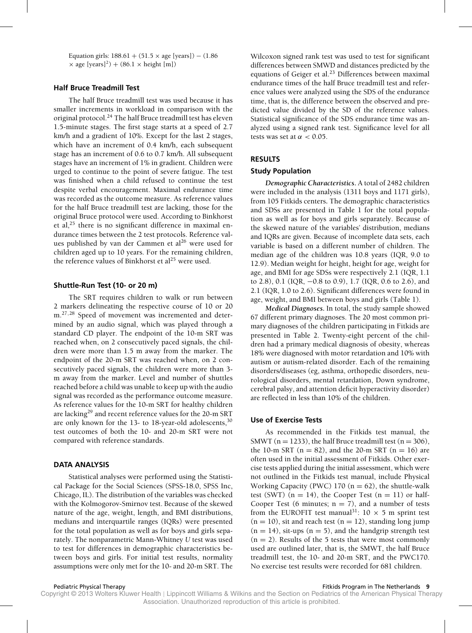Equation girls:  $188.61 + (51.5 \times age$  [years]) –  $(1.86$  $\times$  age [years]<sup>2</sup>) + (86.1  $\times$  height [m])

# **Half Bruce Treadmill Test**

The half Bruce treadmill test was used because it has smaller increments in workload in comparison with the original protocol.<sup>24</sup> The half Bruce treadmill test has eleven 1.5-minute stages. The first stage starts at a speed of 2.7 km/h and a gradient of 10%. Except for the last 2 stages, which have an increment of 0.4 km/h, each subsequent stage has an increment of 0.6 to 0.7 km/h. All subsequent stages have an increment of 1% in gradient. Children were urged to continue to the point of severe fatigue. The test was finished when a child refused to continue the test despite verbal encouragement. Maximal endurance time was recorded as the outcome measure. As reference values for the half Bruce treadmill test are lacking, those for the original Bruce protocol were used. According to Binkhorst et al, $^{25}$  there is no significant difference in maximal endurance times between the 2 test protocols. Reference values published by van der Cammen et al<sup>26</sup> were used for children aged up to 10 years. For the remaining children, the reference values of Binkhorst et  $al^{25}$  were used.

#### **Shuttle-Run Test (10- or 20 m)**

The SRT requires children to walk or run between 2 markers delineating the respective course of 10 or 20 m.<sup>27,28</sup> Speed of movement was incremented and determined by an audio signal, which was played through a standard CD player. The endpoint of the 10-m SRT was reached when, on 2 consecutively paced signals, the children were more than 1.5 m away from the marker. The endpoint of the 20-m SRT was reached when, on 2 consecutively paced signals, the children were more than 3 m away from the marker. Level and number of shuttles reached before a child was unable to keep up with the audio signal was recorded as the performance outcome measure. As reference values for the 10-m SRT for healthy children are lacking<sup>29</sup> and recent reference values for the 20-m SRT are only known for the 13- to 18-year-old adolescents,  $30$ test outcomes of both the 10- and 20-m SRT were not compared with reference standards.

#### **DATA ANALYSIS**

Statistical analyses were performed using the Statistical Package for the Social Sciences (SPSS-18.0, SPSS Inc, Chicago, IL). The distribution of the variables was checked with the Kolmogorov-Smirnov test. Because of the skewed nature of the age, weight, length, and BMI distributions, medians and interquartile ranges (IQRs) were presented for the total population as well as for boys and girls separately. The nonparametric Mann-Whitney *U* test was used to test for differences in demographic characteristics between boys and girls. For initial test results, normality assumptions were only met for the 10- and 20-m SRT. The

Wilcoxon signed rank test was used to test for significant differences between SMWD and distances predicted by the equations of Geiger et al. $^{23}$  Differences between maximal endurance times of the half Bruce treadmill test and reference values were analyzed using the SDS of the endurance time, that is, the difference between the observed and predicted value divided by the SD of the reference values. Statistical significance of the SDS endurance time was analyzed using a signed rank test. Significance level for all tests was set at  $\alpha < 0.05$ .

# **RESULTS**

#### **Study Population**

*Demographic Characteristics***.** A total of 2482 children were included in the analysis (1311 boys and 1171 girls), from 105 Fitkids centers**.** The demographic characteristics and SDSs are presented in Table 1 for the total population as well as for boys and girls separately. Because of the skewed nature of the variables' distribution, medians and IQRs are given. Because of incomplete data sets, each variable is based on a different number of children. The median age of the children was 10.8 years (IQR, 9.0 to 12.9). Median weight for height, height for age, weight for age, and BMI for age SDSs were respectively 2.1 (IQR, 1.1 to 2.8), 0.1 (IQR, −0.8 to 0.9), 1.7 (IQR, 0.6 to 2.6), and 2.1 (IQR, 1.0 to 2.6). Significant differences were found in age, weight, and BMI between boys and girls (Table 1).

*Medical Diagnoses***.** In total, the study sample showed 67 different primary diagnoses. The 20 most common primary diagnoses of the children participating in Fitkids are presented in Table 2. Twenty-eight percent of the children had a primary medical diagnosis of obesity, whereas 18% were diagnosed with motor retardation and 10% with autism or autism-related disorder. Each of the remaining disorders/diseases (eg, asthma, orthopedic disorders, neurological disorders, mental retardation, Down syndrome, cerebral palsy, and attention deficit hyperactivity disorder) are reflected in less than 10% of the children.

# **Use of Exercise Tests**

As recommended in the Fitkids test manual, the SMWT ( $n = 1233$ ), the half Bruce treadmill test ( $n = 306$ ), the 10-m SRT ( $n = 82$ ), and the 20-m SRT ( $n = 16$ ) are often used in the initial assessment of Fitkids. Other exercise tests applied during the initial assessment, which were not outlined in the Fitkids test manual, include Physical Working Capacity (PWC) 170 ( $n = 62$ ), the shuttle-walk test (SWT) ( $n = 14$ ), the Cooper Test ( $n = 11$ ) or half-Cooper Test (6 minutes;  $n = 7$ ), and a number of tests from the EUROFIT test manual<sup>31</sup>:  $10 \times 5$  m sprint test  $(n = 10)$ , sit and reach test  $(n = 12)$ , standing long jump  $(n = 14)$ , sit-ups  $(n = 5)$ , and the handgrip strength test  $(n = 2)$ . Results of the 5 tests that were most commonly used are outlined later, that is, the SMWT, the half Bruce treadmill test, the 10- and 20-m SRT, and the PWC170. No exercise test results were recorded for 681 children.

Pediatric Physical Therapy Fitkids Program in The Netherlands **9**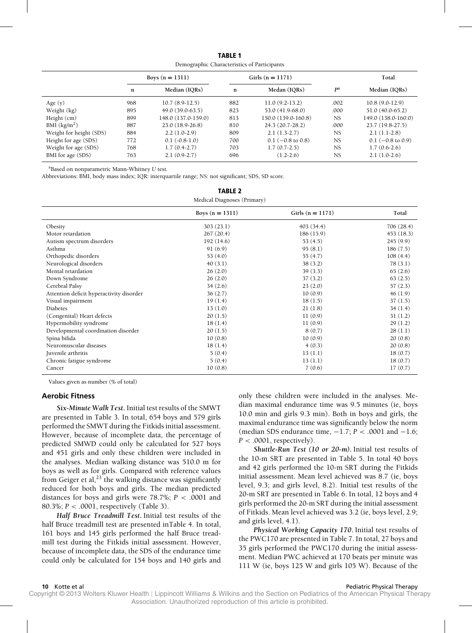**TABLE 1** Demographic Characteristics of Participants

|                         | Boys $(n = 1311)$ |                     | Girls $(n = 1171)$ |                     |           | Total               |  |
|-------------------------|-------------------|---------------------|--------------------|---------------------|-----------|---------------------|--|
|                         | $\mathbf n$       | Median (IQRs)       | n                  | Medan (IORs)        | pa        | Median (IORs)       |  |
| Age $(y)$               | 968               | $10.7(8.9-12.5)$    | 882                | $11.0(9.2-13.2)$    | .002      | $10.8(9.0-12.9)$    |  |
| Weight (kg)             | 895               | 49.0 (39.0-63.5)    | 823                | $53.0(41.9-68.0)$   | .000      | $51.0(40.0-65.2)$   |  |
| Height (cm)             | 899               | 148.0 (137.0-159.0) | 813                | 150.0 (139.0-160.8) | <b>NS</b> | 149.0 (138.0-160.0) |  |
| BMI $(kg/m2)$           | 887               | $23.0(18.9-26.8)$   | 810                | $24.3(20.7-28.2)$   | .000      | 23.7 (19.8-27.5)    |  |
| Weight for height (SDS) | 884               | $2.2(1.0-2.9)$      | 809                | $2.1(1.3-2.7)$      | <b>NS</b> | $2.1(1.1-2.8)$      |  |
| Height for age (SDS)    | 772               | $0.1(-0.8-1.0)$     | 700                | $0.1$ (-0.8 to 0.8) | <b>NS</b> | $0.1$ (-0.8 to 0.9) |  |
| Weight for age (SDS)    | 768               | $1.7(0.4-2.7)$      | 703                | $1.7(0.7-2.5)$      | <b>NS</b> | $1.7(0.6-2.6)$      |  |
| BMI for age (SDS)       | 763               | $2.1(0.9-2.7)$      | 696                | $(1.2 - 2.6)$       | <b>NS</b> | $2.1(1.0-2.6)$      |  |

**TABLE 2**

aBased on nonparametric Mann-Whitney *U* test.

Abbreviations: BMI, body mass index; IQR: interquartile range; NS: not significant; SDS, SD score.

|                                          | IABLE Z<br>Medical Diagnoses (Primary) |                    |            |
|------------------------------------------|----------------------------------------|--------------------|------------|
|                                          | Boys $(n = 1311)$                      | Girls $(n = 1171)$ | Total      |
| Obesity                                  | 303(23.1)                              | 403(34.4)          | 706 (28.4) |
| Motor retardation                        | 267(20.4)                              | 186(15.9)          | 453 (18.3) |
| Autism spectrum disorders                | 192(14.6)                              | 53(4.5)            | 245(9.9)   |
| Asthma                                   | 91(6.9)                                | 95(8.1)            | 186(7.5)   |
| Orthopedic disorders                     | 53 $(4.0)$                             | 55(4.7)            | 108(4.4)   |
| Neurological disorders                   | 40(3.1)                                | 38(3.2)            | 78(3.1)    |
| Mental retardation                       | 26(2.0)                                | 39(3.3)            | 65(2.6)    |
| Down Syndrome                            | 26(2.0)                                | 37(3.2)            | 63(2.5)    |
| Cerebral Palsy                           | 34(2.6)                                | 23(2.0)            | 57(2.3)    |
| Attention deficit hyperactivity disorder | 36(2.7)                                | 10(0.9)            | 46(1.9)    |
| Visual impairment                        | 19(1.4)                                | 18(1.5)            | 37(1.5)    |
| Diabetes                                 | 13(1.0)                                | 21(1.8)            | 34(1.4)    |
| (Congenital) Heart defects               | 20(1.5)                                | 11(0.9)            | 31(1.2)    |
| Hypermobility syndrome                   | 18(1.4)                                | 11(0.9)            | 29(1.2)    |
| Developmental coordination disorder      | 20(1.5)                                | 8(0.7)             | 28(1.1)    |
| Spina bifida                             | 10(0.8)                                | 10(0.9)            | 20(0.8)    |
| Neuromuscular diseases                   | 18(1.4)                                | 4(0.3)             | 20(0.8)    |
| Juvenile arthritis                       | 5(0.4)                                 | 13(1.1)            | 18(0.7)    |
| Chronic fatigue syndrome                 | 5(0.4)                                 | 13(1.1)            | 18(0.7)    |
| Cancer                                   | 10(0.8)                                | 7(0.6)             | 17(0.7)    |

Values given as number (% of total)

# **Aerobic Fitness**

*Six-Minute Walk Test***.** Initial test results of the SMWT are presented in Table 3. In total, 654 boys and 579 girls performed the SMWT during the Fitkids initial assessment. However, because of incomplete data, the percentage of predicted SMWD could only be calculated for 527 boys and 451 girls and only these children were included in the analyses. Median walking distance was 510.0 m for boys as well as for girls. Compared with reference values from Geiger et al, $^{23}$  the walking distance was significantly reduced for both boys and girls. The median predicted distances for boys and girls were  $78.7\%$ ;  $P < .0001$  and 80.3%; *P* < .0001, respectively (Table 3).

*Half Bruce Treadmill Test***.** Initial test results of the half Bruce treadmill test are presented inTable 4. In total, 161 boys and 145 girls performed the half Bruce treadmill test during the Fitkids initial assessment. However, because of incomplete data, the SDS of the endurance time could only be calculated for 154 boys and 140 girls and

only these children were included in the analyses. Median maximal endurance time was 9.5 minutes (ie, boys 10.0 min and girls 9.3 min). Both in boys and girls, the maximal endurance time was significantly below the norm (median SDS endurance time, −1.7; *P* < .0001 and −1.6;  $P < .0001$ , respectively).

*Shuttle-Run Test (10 or 20-m)***.** Initial test results of the 10-m SRT are presented in Table 5. In total 40 boys and 42 girls performed the 10-m SRT during the Fitkids initial assessment. Mean level achieved was 8.7 (ie, boys level, 9.3; and girls level, 8.2). Initial test results of the 20-m SRT are presented in Table 6. In total, 12 boys and 4 girls performed the 20-m SRT during the initial assessment of Fitkids. Mean level achieved was 3.2 (ie, boys level, 2.9; and girls level, 4.1).

*Physical Working Capacity 170***.** Initial test results of the PWC170 are presented in Table 7. In total, 27 boys and 35 girls performed the PWC170 during the initial assessment. Median PWC achieved at 170 beats per minute was 111 W (ie, boys 125 W and girls 105 W). Because of the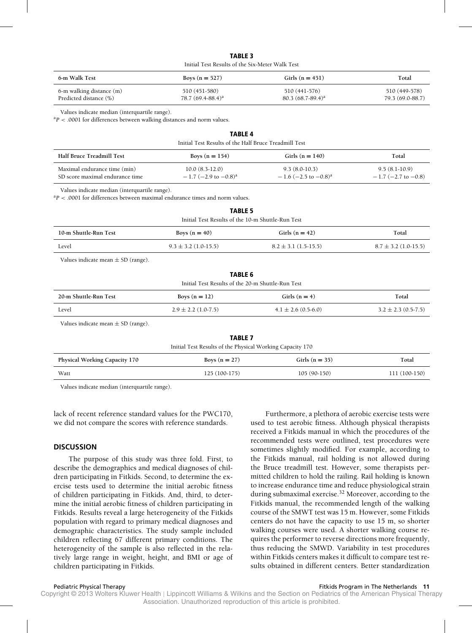| <b>TABLE 3</b>                                  |  |
|-------------------------------------------------|--|
| Initial Test Results of the Six-Meter Walk Test |  |

| 6-m Walk Test            | Boys $(n = 527)$     | Girls $(n = 451)$    | Total            |
|--------------------------|----------------------|----------------------|------------------|
| 6-m walking distance (m) | 510 (451-580)        | 510 (441-576)        | 510 (449-578)    |
| Predicted distance (%)   | 78.7 $(69.4-88.4)^a$ | 80.3 $(68.7-89.4)^a$ | 79.3 (69.0-88.7) |

Values indicate median (interquartile range).

<sup>a</sup>P < .0001 for differences between walking distances and norm values.

| Initial Test Results of the Half Bruce Treadmill Test           |                                                           |                                                       |                                          |  |
|-----------------------------------------------------------------|-----------------------------------------------------------|-------------------------------------------------------|------------------------------------------|--|
| Half Bruce Treadmill Test                                       | Boys $(n = 154)$                                          | Girls ( $n = 140$ )                                   | Total                                    |  |
| Maximal endurance time (min)<br>SD score maximal endurance time | $10.0(8.3-12.0)$<br>$-1.7$ (-2.9 to $-0.8$ ) <sup>a</sup> | $9.3(8.0-10.3)$<br>$-1.6$ (-2.5 to -0.8) <sup>a</sup> | $9.5(8.1-10.9)$<br>$-1.7$ (-2.7 to -0.8) |  |

**TABLE 4**

Values indicate median (interquartile range).

 $a_P < 0.001$  for differences between maximal endurance times and norm values.

| <b>TABLE 5</b><br>Initial Test Results of the 10-m Shuttle-Run Test |                          |                          |                          |  |
|---------------------------------------------------------------------|--------------------------|--------------------------|--------------------------|--|
| 10-m Shuttle-Run Test                                               | Boys $(n = 40)$          | Girls $(n = 42)$         | Total                    |  |
| Level                                                               | $9.3 \pm 3.2$ (1.0-15.5) | $8.2 \pm 3.1$ (1.5-15.5) | $8.7 \pm 3.2$ (1.0-15.5) |  |

Values indicate mean  $\pm$  SD (range).

| <b>TABLE 6</b><br>Initial Test Results of the 20-m Shuttle-Run Test |                         |                         |                         |  |
|---------------------------------------------------------------------|-------------------------|-------------------------|-------------------------|--|
| 20-m Shuttle-Run Test                                               | Boys $(n = 12)$         | Girls $(n = 4)$         | Total                   |  |
| Level                                                               | $2.9 \pm 2.2$ (1.0-7.5) | $4.1 \pm 2.6$ (0.5-6.0) | $3.2 \pm 2.3$ (0.5-7.5) |  |

Values indicate mean  $\pm$  SD (range).

| <b>TABLE 7</b>                                            |  |
|-----------------------------------------------------------|--|
| Initial Test Results of the Physical Working Capacity 170 |  |

| Physical Working Capacity 170 | Boys $(n = 27)$ | Girls $(n = 35)$ | Total         |
|-------------------------------|-----------------|------------------|---------------|
| Watt                          | $125(100-175)$  | $105(90-150)$    | 111 (100-150) |

Values indicate median (interquartile range).

lack of recent reference standard values for the PWC170, we did not compare the scores with reference standards.

# **DISCUSSION**

The purpose of this study was three fold. First, to describe the demographics and medical diagnoses of children participating in Fitkids. Second, to determine the exercise tests used to determine the initial aerobic fitness of children participating in Fitkids. And, third, to determine the initial aerobic fitness of children participating in Fitkids. Results reveal a large heterogeneity of the Fitkids population with regard to primary medical diagnoses and demographic characteristics. The study sample included children reflecting 67 different primary conditions. The heterogeneity of the sample is also reflected in the relatively large range in weight, height, and BMI or age of children participating in Fitkids.

Furthermore, a plethora of aerobic exercise tests were used to test aerobic fitness. Although physical therapists received a Fitkids manual in which the procedures of the recommended tests were outlined, test procedures were sometimes slightly modified. For example, according to the Fitkids manual, rail holding is not allowed during the Bruce treadmill test. However, some therapists permitted children to hold the railing. Rail holding is known to increase endurance time and reduce physiological strain during submaximal exercise.<sup>32</sup> Moreover, according to the Fitkids manual, the recommended length of the walking course of the SMWT test was 15 m. However, some Fitkids centers do not have the capacity to use 15 m, so shorter walking courses were used. A shorter walking course requires the performer to reverse directions more frequently, thus reducing the SMWD. Variability in test procedures within Fitkids centers makes it difficult to compare test results obtained in different centers. Better standardization

#### Pediatric Physical Therapy Fitkids Program in The Netherlands **11**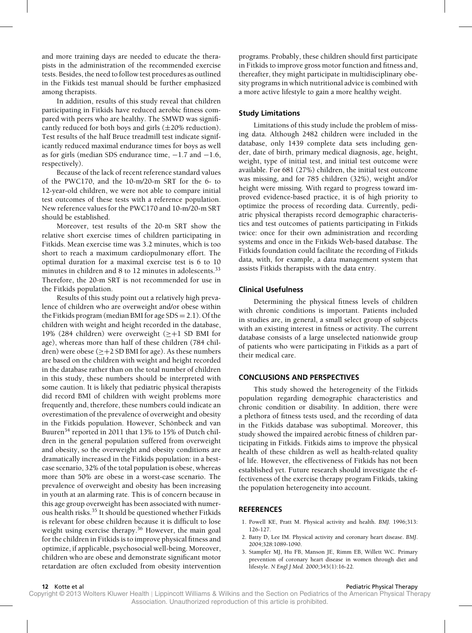and more training days are needed to educate the therapists in the administration of the recommended exercise tests. Besides, the need to follow test procedures as outlined in the Fitkids test manual should be further emphasized among therapists.

In addition, results of this study reveal that children participating in Fitkids have reduced aerobic fitness compared with peers who are healthy. The SMWD was significantly reduced for both boys and girls  $(\pm 20\%$  reduction). Test results of the half Bruce treadmill test indicate significantly reduced maximal endurance times for boys as well as for girls (median SDS endurance time, −1.7 and −1.6, respectively).

Because of the lack of recent reference standard values of the PWC170, and the 10-m/20-m SRT for the 6- to 12-year-old children, we were not able to compare initial test outcomes of these tests with a reference population. New reference values for the PWC170 and 10-m/20-m SRT should be established.

Moreover, test results of the 20-m SRT show the relative short exercise times of children participating in Fitkids. Mean exercise time was 3.2 minutes, which is too short to reach a maximum cardiopulmonary effort. The optimal duration for a maximal exercise test is 6 to 10 minutes in children and 8 to 12 minutes in adolescents.<sup>33</sup> Therefore, the 20-m SRT is not recommended for use in the Fitkids population.

Results of this study point out a relatively high prevalence of children who are overweight and/or obese within the Fitkids program (median BMI for age SDS = 2.1). Of the children with weight and height recorded in the database, 19% (284 children) were overweight ( $\geq +1$  SD BMI for age), whereas more than half of these children (784 children) were obese ( $\geq$  +2 SD BMI for age). As these numbers are based on the children with weight and height recorded in the database rather than on the total number of children in this study, these numbers should be interpreted with some caution. It is likely that pediatric physical therapists did record BMI of children with weight problems more frequently and, therefore, these numbers could indicate an overestimation of the prevalence of overweight and obesity in the Fitkids population. However, Schönbeck and van Buuren<sup>34</sup> reported in 2011 that 13% to 15% of Dutch children in the general population suffered from overweight and obesity, so the overweight and obesity conditions are dramatically increased in the Fitkids population: in a bestcase scenario, 32% of the total population is obese, whereas more than 50% are obese in a worst-case scenario. The prevalence of overweight and obesity has been increasing in youth at an alarming rate. This is of concern because in this age group overweight has been associated with numerous health risks.35 It should be questioned whether Fitkids is relevant for obese children because it is difficult to lose weight using exercise therapy.<sup>36</sup> However, the main goal for the children in Fitkids is to improve physical fitness and optimize, if applicable, psychosocial well-being. Moreover, children who are obese and demonstrate significant motor retardation are often excluded from obesity intervention

programs. Probably, these children should first participate in Fitkids to improve gross motor function and fitness and, thereafter, they might participate in multidisciplinary obesity programs in which nutritional advice is combined with a more active lifestyle to gain a more healthy weight.

# **Study Limitations**

Limitations of this study include the problem of missing data. Although 2482 children were included in the database, only 1439 complete data sets including gender, date of birth, primary medical diagnosis, age, height, weight, type of initial test, and initial test outcome were available. For 681 (27%) children, the initial test outcome was missing, and for 785 children (32%), weight and/or height were missing. With regard to progress toward improved evidence-based practice, it is of high priority to optimize the process of recording data. Currently, pediatric physical therapists record demographic characteristics and test outcomes of patients participating in Fitkids twice: once for their own administration and recording systems and once in the Fitkids Web-based database. The Fitkids foundation could facilitate the recording of Fitkids data, with, for example, a data management system that assists Fitkids therapists with the data entry.

# **Clinical Usefulness**

Determining the physical fitness levels of children with chronic conditions is important. Patients included in studies are, in general, a small select group of subjects with an existing interest in fitness or activity. The current database consists of a large unselected nationwide group of patients who were participating in Fitkids as a part of their medical care.

# **CONCLUSIONS AND PERSPECTIVES**

This study showed the heterogeneity of the Fitkids population regarding demographic characteristics and chronic condition or disability. In addition, there were a plethora of fitness tests used, and the recording of data in the Fitkids database was suboptimal. Moreover, this study showed the impaired aerobic fitness of children participating in Fitkids. Fitkids aims to improve the physical health of these children as well as health-related quality of life. However, the effectiveness of Fitkids has not been established yet. Future research should investigate the effectiveness of the exercise therapy program Fitkids, taking the population heterogeneity into account.

# **REFERENCES**

- 1. Powell KE, Pratt M. Physical activity and health. *BMJ*. 1996;313: 126-127.
- 2. Batty D, Lee IM. Physical activity and coronary heart disease. *BMJ*. 2004;328:1089-1090.
- 3. Stampfer MJ, Hu FB, Manson JE, Rimm EB, Willett WC. Primary prevention of coronary heart disease in women through diet and lifestyle. *N Engl J Med*. 2000;343(1):16-22.

# **12** Kotte et al **Pediatric Physical Therapy 12** Kotte et al